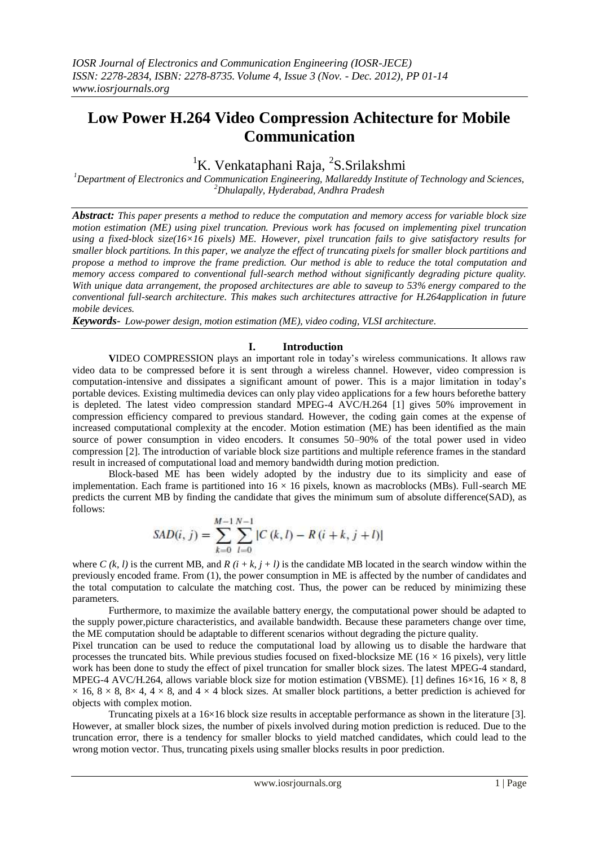# **Low Power H.264 Video Compression Achitecture for Mobile Communication**

## <sup>1</sup>K. Venkataphani Raja, <sup>2</sup>S. Srilakshmi

*<sup>1</sup>Department of Electronics and Communication Engineering, Mallareddy Institute of Technology and Sciences, <sup>2</sup>Dhulapally, Hyderabad, Andhra Pradesh*

*Abstract: This paper presents a method to reduce the computation and memory access for variable block size motion estimation (ME) using pixel truncation. Previous work has focused on implementing pixel truncation using a fixed-block size(16×16 pixels) ME. However, pixel truncation fails to give satisfactory results for smaller block partitions. In this paper, we analyze the effect of truncating pixels for smaller block partitions and propose a method to improve the frame prediction. Our method is able to reduce the total computation and memory access compared to conventional full-search method without significantly degrading picture quality. With unique data arrangement, the proposed architectures are able to saveup to 53% energy compared to the conventional full-search architecture. This makes such architectures attractive for H.264application in future mobile devices.*

*Keywords- Low-power design, motion estimation (ME), video coding, VLSI architecture.*

## **I. Introduction**

**V**IDEO COMPRESSION plays an important role in today's wireless communications. It allows raw video data to be compressed before it is sent through a wireless channel. However, video compression is computation-intensive and dissipates a significant amount of power. This is a major limitation in today's portable devices. Existing multimedia devices can only play video applications for a few hours beforethe battery is depleted. The latest video compression standard MPEG-4 AVC/H.264 [1] gives 50% improvement in compression efficiency compared to previous standard. However, the coding gain comes at the expense of increased computational complexity at the encoder. Motion estimation (ME) has been identified as the main source of power consumption in video encoders. It consumes 50–90% of the total power used in video compression [2]. The introduction of variable block size partitions and multiple reference frames in the standard result in increased of computational load and memory bandwidth during motion prediction.

Block-based ME has been widely adopted by the industry due to its simplicity and ease of implementation. Each frame is partitioned into  $16 \times 16$  pixels, known as macroblocks (MBs). Full-search ME predicts the current MB by finding the candidate that gives the minimum sum of absolute difference(SAD), as follows:

$$
SAD(i, j) = \sum_{k=0}^{M-1} \sum_{l=0}^{N-1} |C(k, l) - R(i + k, j + l)|
$$

where C  $(k, l)$  is the current MB, and R  $(i + k, j + l)$  is the candidate MB located in the search window within the previously encoded frame. From (1), the power consumption in ME is affected by the number of candidates and the total computation to calculate the matching cost. Thus, the power can be reduced by minimizing these parameters.

Furthermore, to maximize the available battery energy, the computational power should be adapted to the supply power,picture characteristics, and available bandwidth. Because these parameters change over time, the ME computation should be adaptable to different scenarios without degrading the picture quality.

Pixel truncation can be used to reduce the computational load by allowing us to disable the hardware that processes the truncated bits. While previous studies focused on fixed-blocksize ME ( $16 \times 16$  pixels), very little work has been done to study the effect of pixel truncation for smaller block sizes. The latest MPEG-4 standard, MPEG-4 AVC/H.264, allows variable block size for motion estimation (VBSME). [1] defines  $16\times16\times8$ , 8  $\times$  16, 8  $\times$  8, 8 $\times$  4, 4  $\times$  8, and 4  $\times$  4 block sizes. At smaller block partitions, a better prediction is achieved for objects with complex motion.

Truncating pixels at a 16×16 block size results in acceptable performance as shown in the literature [3]. However, at smaller block sizes, the number of pixels involved during motion prediction is reduced. Due to the truncation error, there is a tendency for smaller blocks to yield matched candidates, which could lead to the wrong motion vector. Thus, truncating pixels using smaller blocks results in poor prediction.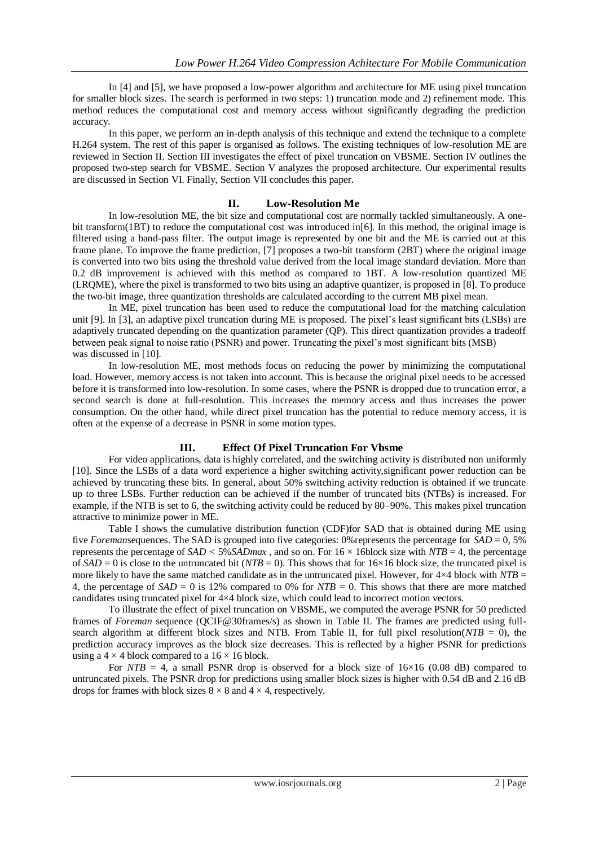In [4] and [5], we have proposed a low-power algorithm and architecture for ME using pixel truncation for smaller block sizes. The search is performed in two steps: 1) truncation mode and 2) refinement mode. This method reduces the computational cost and memory access without significantly degrading the prediction accuracy.

In this paper, we perform an in-depth analysis of this technique and extend the technique to a complete H.264 system. The rest of this paper is organised as follows. The existing techniques of low-resolution ME are reviewed in Section II. Section III investigates the effect of pixel truncation on VBSME. Section IV outlines the proposed two-step search for VBSME. Section V analyzes the proposed architecture. Our experimental results are discussed in Section VI. Finally, Section VII concludes this paper.

## **II. Low-Resolution Me**

In low-resolution ME, the bit size and computational cost are normally tackled simultaneously. A onebit transform(1BT) to reduce the computational cost was introduced in[6]. In this method, the original image is filtered using a band-pass filter. The output image is represented by one bit and the ME is carried out at this frame plane. To improve the frame prediction, [7] proposes a two-bit transform (2BT) where the original image is converted into two bits using the threshold value derived from the local image standard deviation. More than 0.2 dB improvement is achieved with this method as compared to 1BT. A low-resolution quantized ME (LRQME), where the pixel is transformed to two bits using an adaptive quantizer, is proposed in [8]. To produce the two-bit image, three quantization thresholds are calculated according to the current MB pixel mean.

In ME, pixel truncation has been used to reduce the computational load for the matching calculation unit [9]. In [3], an adaptive pixel truncation during ME is proposed. The pixel's least significant bits (LSBs) are adaptively truncated depending on the quantization parameter (QP). This direct quantization provides a tradeoff between peak signal to noise ratio (PSNR) and power. Truncating the pixel's most significant bits (MSB) was discussed in [10].

In low-resolution ME, most methods focus on reducing the power by minimizing the computational load. However, memory access is not taken into account. This is because the original pixel needs to be accessed before it is transformed into low-resolution. In some cases, where the PSNR is dropped due to truncation error, a second search is done at full-resolution. This increases the memory access and thus increases the power consumption. On the other hand, while direct pixel truncation has the potential to reduce memory access, it is often at the expense of a decrease in PSNR in some motion types.

## **III. Effect Of Pixel Truncation For Vbsme**

For video applications, data is highly correlated, and the switching activity is distributed non uniformly [10]. Since the LSBs of a data word experience a higher switching activity,significant power reduction can be achieved by truncating these bits. In general, about 50% switching activity reduction is obtained if we truncate up to three LSBs. Further reduction can be achieved if the number of truncated bits (NTBs) is increased. For example, if the NTB is set to 6, the switching activity could be reduced by 80–90%. This makes pixel truncation attractive to minimize power in ME.

Table I shows the cumulative distribution function (CDF)for SAD that is obtained during ME using five *Foreman*sequences. The SAD is grouped into five categories: 0%represents the percentage for *SAD* = 0, 5% represents the percentage of  $SAD < 5\% SADmax$ , and so on. For  $16 \times 16$  block size with  $NTB = 4$ , the percentage of  $SAD = 0$  is close to the untruncated bit ( $NTB = 0$ ). This shows that for  $16 \times 16$  block size, the truncated pixel is more likely to have the same matched candidate as in the untruncated pixel. However, for  $4\times4$  block with  $NTB =$ 4, the percentage of  $SAD = 0$  is 12% compared to 0% for  $NTB = 0$ . This shows that there are more matched candidates using truncated pixel for 4×4 block size, which could lead to incorrect motion vectors.

To illustrate the effect of pixel truncation on VBSME, we computed the average PSNR for 50 predicted frames of *Foreman* sequence (QCIF@30frames/s) as shown in Table II. The frames are predicted using fullsearch algorithm at different block sizes and NTB. From Table II, for full pixel resolution( $NTB = 0$ ), the prediction accuracy improves as the block size decreases. This is reflected by a higher PSNR for predictions using a  $4 \times 4$  block compared to a  $16 \times 16$  block.

For  $NTB = 4$ , a small PSNR drop is observed for a block size of  $16\times16$  (0.08 dB) compared to untruncated pixels. The PSNR drop for predictions using smaller block sizes is higher with 0.54 dB and 2.16 dB drops for frames with block sizes  $8 \times 8$  and  $4 \times 4$ , respectively.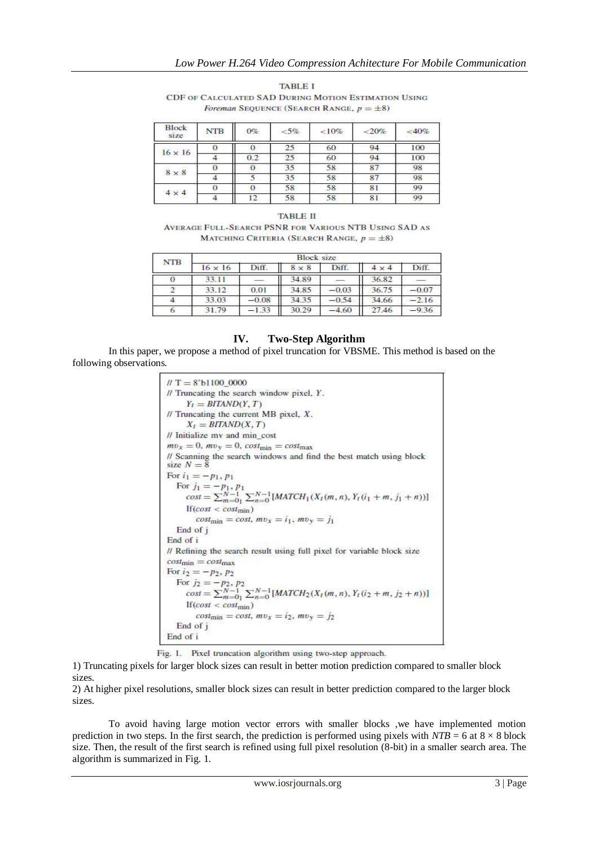| <b>TABLE I</b>                                       |
|------------------------------------------------------|
| CDF OF CALCULATED SAD DURING MOTION ESTIMATION USING |
| <i>Foreman</i> SEQUENCE (SEARCH RANGE, $p = \pm 8$ ) |

| <b>Block</b><br>size | <b>NTB</b> | $0\%$         | $&5\%$ | < 10% | ${<}20%$ | $<$ 40% |
|----------------------|------------|---------------|--------|-------|----------|---------|
|                      |            | O             | 25     | 60    | 94       | 100     |
| $16 \times 16$       |            | $0.2^{\circ}$ | 25     | 60    | 94       | 100     |
|                      |            | 0             | 35     | 58    | 87       | 98      |
| $8 \times 8$         |            |               | 35     | 58    | 87       | 98      |
|                      |            | o             | 58     | 58    | 81       | 99      |
| $4 \times 4$         |            | 12            | 58     | 58    | 81       | 99      |

#### **TABLE II**

AVERAGE FULL-SEARCH PSNR FOR VARIOUS NTB USING SAD AS MATCHING CRITERIA (SEARCH RANGE,  $p = \pm 8$ )

| <b>NTB</b> | <b>Block size</b> |         |              |         |              |         |  |  |  |
|------------|-------------------|---------|--------------|---------|--------------|---------|--|--|--|
|            | $16 \times 16$    | Diff.   | $8 \times 8$ | Diff.   | $4 \times 4$ | Diff.   |  |  |  |
|            | 33.11             |         | 34.89        |         | 36.82        |         |  |  |  |
|            | 33.12             | 0.01    | 34.85        | $-0.03$ | 36.75        | $-0.07$ |  |  |  |
|            | 33.03             | $-0.08$ | 34.35        | $-0.54$ | 34.66        | $-2.16$ |  |  |  |
|            | 31.79             | 1.33    | 30.29        | $-4.60$ | 27.46        | 9.36    |  |  |  |

## **IV. Two-Step Algorithm**

In this paper, we propose a method of pixel truncation for VBSME. This method is based on the following observations.

> $H T = 8$ 'bl100 0000  $\#$  Truncating the search window pixel,  $Y$ .  $Y_t = BITAND(Y, T)$  $\#$  Truncating the current MB pixel,  $X$ .  $X_t = BITAND(X, T)$  $\theta$  Initialize mv and min cost  $mv_x = 0$ ,  $mv_y = 0$ ,  $cost_{min} = cost_{max}$ // Scanning the search windows and find the best match using block size  $N = 8$ For  $i_1 = -p_1, p_1$ For  $j_1 = -p_1, p_1$ <br>
> For  $j_1 = -p_1, p_1$ <br>  $cost = \sum_{m=0}^{N-1} \sum_{n=0}^{N-1} [MATCH_1(X_t(m, n), Y_t(i_1 + m, j_1 + n))]$ <br>
> If  $(cost < cost_{min})$  $If (cost < cost_{min})$  $cost_{\min} = cost, mv_x = i_1, mv_y = j_1$ End of j End of i // Refining the search result using full pixel for variable block size  $cost_{min} = cost_{max}$ For  $i_2 = -p_2, p_2$ For  $j_2 = -p_2$ ,  $p_2$ <br>  $cost = \sum_{m=0}^{N-1} \sum_{n=0}^{N-1} [MATCH_2(X_t(m, n), Y_t(i_2 + m, j_2 + n))]$ <br>
> If  $(cost < cost_{min})$ If  $(cost < cost_{min})$  $cost_{\text{min}} = cost, mv_x = i_2, mv_y = j_2$ End of j End of i

Fig. 1. Pixel truncation algorithm using two-step approach.

1) Truncating pixels for larger block sizes can result in better motion prediction compared to smaller block sizes.

2) At higher pixel resolutions, smaller block sizes can result in better prediction compared to the larger block sizes.

To avoid having large motion vector errors with smaller blocks ,we have implemented motion prediction in two steps. In the first search, the prediction is performed using pixels with  $NTB = 6$  at  $8 \times 8$  block size. Then, the result of the first search is refined using full pixel resolution (8-bit) in a smaller search area. The algorithm is summarized in Fig. 1.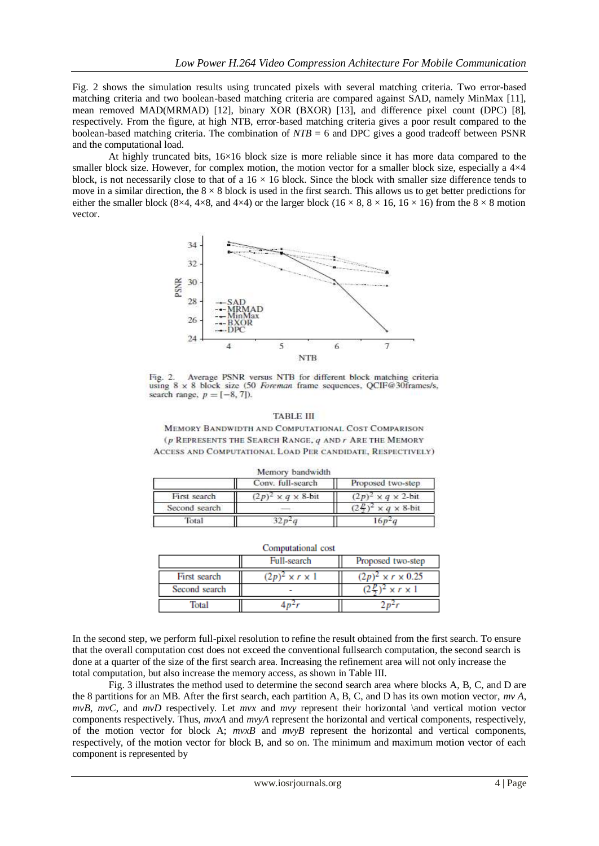Fig. 2 shows the simulation results using truncated pixels with several matching criteria. Two error-based matching criteria and two boolean-based matching criteria are compared against SAD, namely MinMax [11], mean removed MAD(MRMAD) [12], binary XOR (BXOR) [13], and difference pixel count (DPC) [8], respectively. From the figure, at high NTB, error-based matching criteria gives a poor result compared to the boolean-based matching criteria. The combination of *NTB* = 6 and DPC gives a good tradeoff between PSNR and the computational load.

At highly truncated bits, 16×16 block size is more reliable since it has more data compared to the smaller block size. However, for complex motion, the motion vector for a smaller block size, especially a  $4\times4$ block, is not necessarily close to that of a  $16 \times 16$  block. Since the block with smaller size difference tends to move in a similar direction, the  $8 \times 8$  block is used in the first search. This allows us to get better predictions for either the smaller block (8×4, 4×8, and 4×4) or the larger block (16 × 8, 8 × 16, 16 × 16) from the 8 × 8 motion vector.



Average PSNR versus NTB for different block matching criteria Fig. 2. using 8 x 8 block size (50 Foreman frame sequences, QCIF@30frames/s, search range,  $p = [-8, 7]$ ).

#### **TABLE III**

MEMORY BANDWIDTH AND COMPUTATIONAL COST COMPARISON (p REPRESENTS THE SEARCH RANGE, q AND r ARE THE MEMORY ACCESS AND COMPUTATIONAL LOAD PER CANDIDATE, RESPECTIVELY)

|               | Memory bandwidth                |                                 |
|---------------|---------------------------------|---------------------------------|
|               | Conv. full-search               | Proposed two-step               |
| First search  | $(2p)^2 \times q \times 8$ -bit | $(2p)^2 \times q \times 2$ -bit |
| Second search |                                 | $\times q \times 8$ -bit        |
| Total         |                                 |                                 |

|               | Computational cost<br>Full-search | Proposed two-step             |
|---------------|-----------------------------------|-------------------------------|
| First search  | $(2p)^2 \times r \times 1$        | $(2p)^2 \times r \times 0.25$ |
| Second search |                                   | $x r \times 1$                |
| Total         |                                   |                               |

In the second step, we perform full-pixel resolution to refine the result obtained from the first search. To ensure that the overall computation cost does not exceed the conventional fullsearch computation, the second search is done at a quarter of the size of the first search area. Increasing the refinement area will not only increase the total computation, but also increase the memory access, as shown in Table III.

Fig. 3 illustrates the method used to determine the second search area where blocks A, B, C, and D are the 8 partitions for an MB. After the first search, each partition A, B, C, and D has its own motion vector, *mv A, mvB*, *mvC*, and *mvD* respectively. Let *mvx* and *mvy* represent their horizontal \and vertical motion vector components respectively. Thus, *mvxA* and *mvyA* represent the horizontal and vertical components, respectively, of the motion vector for block A; *mvxB* and *mvyB* represent the horizontal and vertical components, respectively, of the motion vector for block B, and so on. The minimum and maximum motion vector of each component is represented by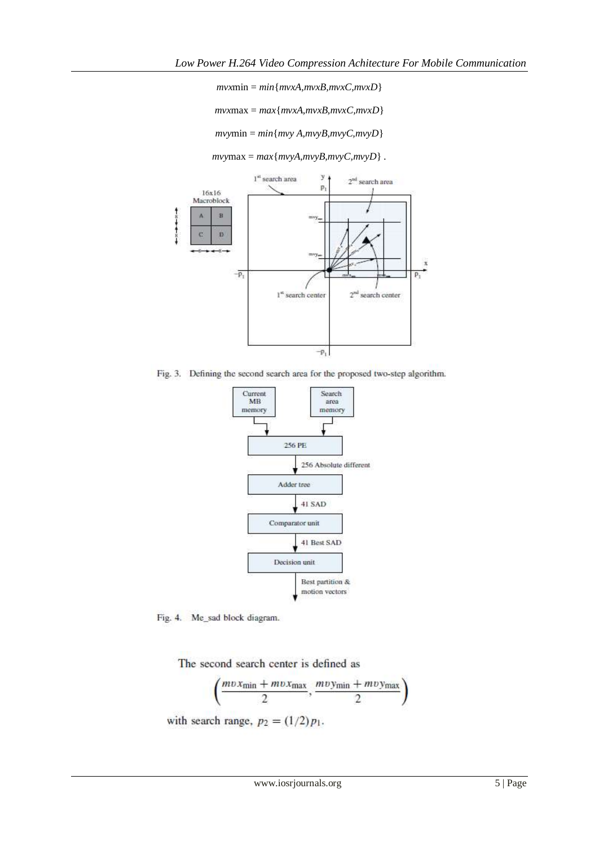*mvx*min = *min*{*mvxA,mvxB,mvxC,mvxD*}

*mvx*max = *max*{*mvxA,mvxB,mvxC,mvxD*}

*mvy*min = *min*{*mvy A,mvyB,mvyC,mvyD*}

 $mvymax = max{mvyA, mvyB, mvyC, mvyD}$ .



Fig. 3. Defining the second search area for the proposed two-step algorithm.



Fig. 4. Me\_sad block diagram.

The second search center is defined as

$$
\left(\frac{mv x_{\min} + mv x_{\max}}{2}, \frac{mv y_{\min} + mv y_{\max}}{2}\right)
$$

with search range,  $p_2 = (1/2)p_1$ .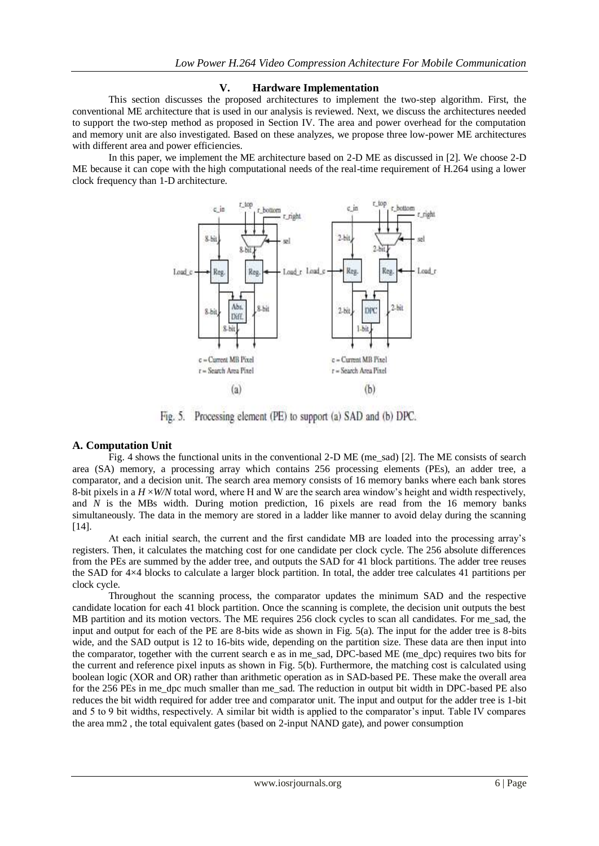## **V. Hardware Implementation**

This section discusses the proposed architectures to implement the two-step algorithm. First, the conventional ME architecture that is used in our analysis is reviewed. Next, we discuss the architectures needed to support the two-step method as proposed in Section IV. The area and power overhead for the computation and memory unit are also investigated. Based on these analyzes, we propose three low-power ME architectures with different area and power efficiencies.

In this paper, we implement the ME architecture based on 2-D ME as discussed in [2]. We choose 2-D ME because it can cope with the high computational needs of the real-time requirement of H.264 using a lower clock frequency than 1-D architecture.



Processing element (PE) to support (a) SAD and (b) DPC.  $Fig. 5.$ 

## **A. Computation Unit**

Fig. 4 shows the functional units in the conventional 2-D ME (me\_sad) [2]. The ME consists of search area (SA) memory, a processing array which contains 256 processing elements (PEs), an adder tree, a comparator, and a decision unit. The search area memory consists of 16 memory banks where each bank stores 8-bit pixels in a  $H \times W/N$  total word, where H and W are the search area window's height and width respectively, and *N* is the MBs width. During motion prediction, 16 pixels are read from the 16 memory banks simultaneously. The data in the memory are stored in a ladder like manner to avoid delay during the scanning [14].

At each initial search, the current and the first candidate MB are loaded into the processing array's registers. Then, it calculates the matching cost for one candidate per clock cycle. The 256 absolute differences from the PEs are summed by the adder tree, and outputs the SAD for 41 block partitions. The adder tree reuses the SAD for 4×4 blocks to calculate a larger block partition. In total, the adder tree calculates 41 partitions per clock cycle.

Throughout the scanning process, the comparator updates the minimum SAD and the respective candidate location for each 41 block partition. Once the scanning is complete, the decision unit outputs the best MB partition and its motion vectors. The ME requires 256 clock cycles to scan all candidates. For me\_sad, the input and output for each of the PE are 8-bits wide as shown in Fig. 5(a). The input for the adder tree is 8-bits wide, and the SAD output is 12 to 16-bits wide, depending on the partition size. These data are then input into the comparator, together with the current search e as in me\_sad, DPC-based ME (me\_dpc) requires two bits for the current and reference pixel inputs as shown in Fig. 5(b). Furthermore, the matching cost is calculated using boolean logic (XOR and OR) rather than arithmetic operation as in SAD-based PE. These make the overall area for the 256 PEs in me\_dpc much smaller than me\_sad. The reduction in output bit width in DPC-based PE also reduces the bit width required for adder tree and comparator unit. The input and output for the adder tree is 1-bit and 5 to 9 bit widths, respectively. A similar bit width is applied to the comparator's input. Table IV compares the area mm2 , the total equivalent gates (based on 2-input NAND gate), and power consumption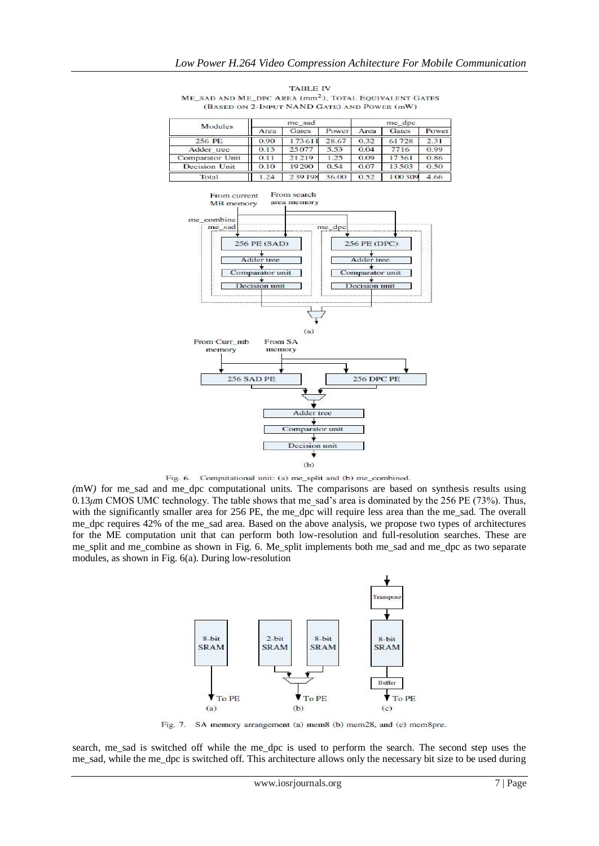| <b>Modules</b>  | me sad |        |       | me dpc |        |       |  |
|-----------------|--------|--------|-------|--------|--------|-------|--|
|                 | Area   | Gates  | Power | Area   | Gates  | Power |  |
| 256 PE          | 0.90   | 173611 | 28.67 | 0.32   | 61728  | 2.31  |  |
| Adder tree      | 0.13   | 25077  | 5.53  | 0.04   | 7716   | 0.99  |  |
| Comparator Unit | 0.11   | 21219  | 1.25  | 0.09   | 17361  | 0.86  |  |
| Decision Unit   | 0.10   | 19290  | 0.54  | 0.07   | 13503  | 0.50  |  |
| Total           | 1.24   | 239198 | 36.00 | 0.52   | 100309 | 4.66  |  |

**TABLE IV** ME\_SAD AND ME\_DPC AREA (mm<sup>2</sup>), TOTAL EQUIVALENT GATES (BASED ON 2-INPUT NAND GATE) AND POWER (mW)





*(*mW*)* for me\_sad and me\_dpc computational units. The comparisons are based on synthesis results using 0*.*13*μ*m CMOS UMC technology. The table shows that me\_sad's area is dominated by the 256 PE (73%). Thus, with the significantly smaller area for 256 PE, the me\_dpc will require less area than the me\_sad. The overall me\_dpc requires 42% of the me\_sad area. Based on the above analysis, we propose two types of architectures for the ME computation unit that can perform both low-resolution and full-resolution searches. These are me\_split and me\_combine as shown in Fig. 6. Me\_split implements both me\_sad and me\_dpc as two separate modules, as shown in Fig. 6(a). During low-resolution



Fig. 7. SA memory arrangement (a) mem8 (b) mem28, and (c) mem8pre.

search, me\_sad is switched off while the me\_dpc is used to perform the search. The second step uses the me\_sad, while the me\_dpc is switched off. This architecture allows only the necessary bit size to be used during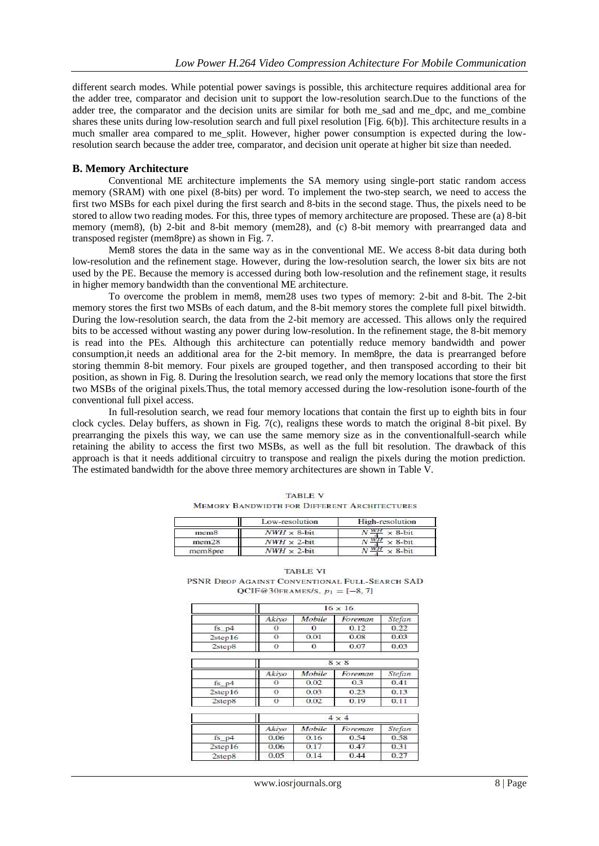different search modes. While potential power savings is possible, this architecture requires additional area for the adder tree, comparator and decision unit to support the low-resolution search.Due to the functions of the adder tree, the comparator and the decision units are similar for both me\_sad and me\_dpc, and me\_combine shares these units during low-resolution search and full pixel resolution [Fig. 6(b)]. This architecture results in a much smaller area compared to me\_split. However, higher power consumption is expected during the lowresolution search because the adder tree, comparator, and decision unit operate at higher bit size than needed.

#### **B. Memory Architecture**

Conventional ME architecture implements the SA memory using single-port static random access memory (SRAM) with one pixel (8-bits) per word. To implement the two-step search, we need to access the first two MSBs for each pixel during the first search and 8-bits in the second stage. Thus, the pixels need to be stored to allow two reading modes. For this, three types of memory architecture are proposed. These are (a) 8-bit memory (mem8), (b) 2-bit and 8-bit memory (mem28), and (c) 8-bit memory with prearranged data and transposed register (mem8pre) as shown in Fig. 7.

Mem8 stores the data in the same way as in the conventional ME. We access 8-bit data during both low-resolution and the refinement stage. However, during the low-resolution search, the lower six bits are not used by the PE. Because the memory is accessed during both low-resolution and the refinement stage, it results in higher memory bandwidth than the conventional ME architecture.

To overcome the problem in mem8, mem28 uses two types of memory: 2-bit and 8-bit. The 2-bit memory stores the first two MSBs of each datum, and the 8-bit memory stores the complete full pixel bitwidth. During the low-resolution search, the data from the 2-bit memory are accessed. This allows only the required bits to be accessed without wasting any power during low-resolution. In the refinement stage, the 8-bit memory is read into the PEs. Although this architecture can potentially reduce memory bandwidth and power consumption,it needs an additional area for the 2-bit memory. In mem8pre, the data is prearranged before storing themmin 8-bit memory. Four pixels are grouped together, and then transposed according to their bit position, as shown in Fig. 8. During the lresolution search, we read only the memory locations that store the first two MSBs of the original pixels.Thus, the total memory accessed during the low-resolution isone-fourth of the conventional full pixel access.

In full-resolution search, we read four memory locations that contain the first up to eighth bits in four clock cycles. Delay buffers, as shown in Fig. 7(c), realigns these words to match the original 8-bit pixel. By prearranging the pixels this way, we can use the same memory size as in the conventionalfull-search while retaining the ability to access the first two MSBs, as well as the full bit resolution. The drawback of this approach is that it needs additional circuitry to transpose and realign the pixels during the motion prediction. The estimated bandwidth for the above three memory architectures are shown in Table V.

|                   | Low-resolution      | High-resolution             |
|-------------------|---------------------|-----------------------------|
| mem8              | $NWH \times 8$ -bit | $\times$ 8-bit              |
| mem <sub>28</sub> | $NWH \times 2$ -bit | <b>WH</b><br>$\times$ 8-bit |
| mem8pre           | $NWH \times 2$ -bit |                             |

**TABLE V MEMORY BANDWIDTH FOR DIFFERENT ARCHITECTURES** 

| <b>TABLE VI</b>                                |
|------------------------------------------------|
| PSNR DROP AGAINST CONVENTIONAL FULL-SEARCH SAD |
| QCIF@30FRAMES/S, $p_1 = [-8, 7]$               |

|                |       |        | $16 \times 16$ |        |
|----------------|-------|--------|----------------|--------|
|                | Akivo | Mobile | Foreman        | Stefan |
| $fs$ $p4$      | 0     | 0      | 0.12           | 0.22   |
| 2step16        | 0     | 0.01   | 0.08           | 0.03   |
| 2step8         | 0     | 0      | 0.07           | 0.03   |
|                |       |        | $8 \times 8$   |        |
|                | Akivo | Mobile | Foreman        | Stefan |
| $fs$ $p4$      | 0     | 0.02   | 0.3            | 0.41   |
| 2step16        | 0     | 0.03   | 0.23           | 0.13   |
| 2 <sup>8</sup> | 0     | 0.02   | 0.19           | 0.11   |
|                |       |        | $4 \times 4$   |        |
|                | Akivo | Mobile | Foreman        | Stefan |
| $fs$ $p4$      | 0.06  | 0.16   | 0.54           | 0.58   |
| 2step16        | 0.06  | 0.17   | 0.47           | 0.31   |
| 2step8         | 0.05  | 0.14   | 0.44           | 0.27   |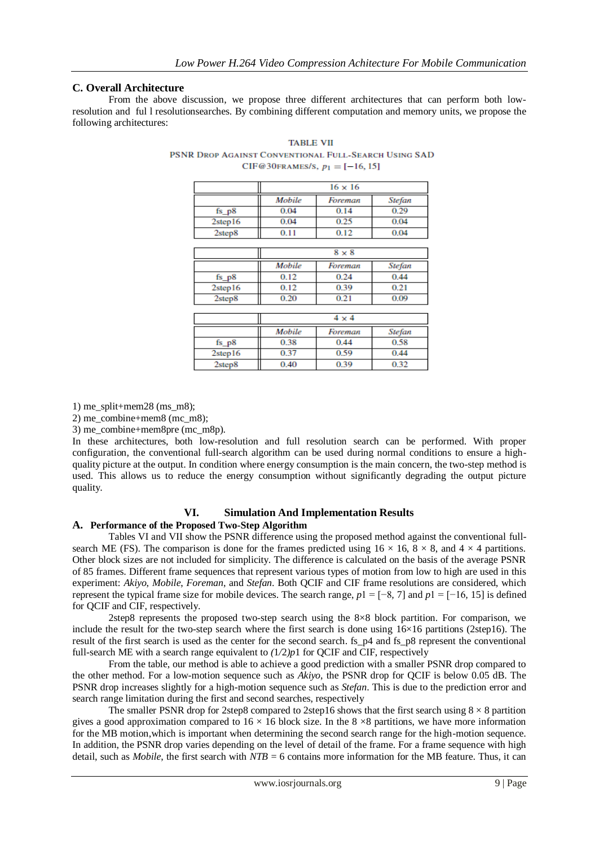## **C. Overall Architecture**

From the above discussion, we propose three different architectures that can perform both lowresolution and ful l resolutionsearches. By combining different computation and memory units, we propose the following architectures:

|                |        | $16 \times 16$ |               |
|----------------|--------|----------------|---------------|
|                | Mobile | Foreman        | <b>Stefan</b> |
| fs $p8$        | 0.04   | 0.14           | 0.29          |
| 2step16        | 0.04   | 0.25           | 0.04          |
| 2step8         | 0.11   | 0.12           | 0.04          |
|                |        |                |               |
|                |        | $8 \times 8$   |               |
|                | Mobile | Foreman        | <b>Stefan</b> |
| $fs_p8$        | 0.12   | 0.24           | 0.44          |
| 2step16        | 0.12   | 0.39           | 0.21          |
| 2step8         | 0.20   | 0.21           | 0.09          |
|                |        |                |               |
|                |        | $4 \times 4$   |               |
|                | Mobile | Foreman        | <b>Stefan</b> |
| $fs_p8$        | 0.38   | 0.44           | 0.58          |
| 2step16        | 0.37   | 0.59           | 0.44          |
| 2 <sup>8</sup> | 0.40   | 0.39           | 0.32          |

**TABLE VII** PSNR DROP AGAINST CONVENTIONAL FULL-SEARCH USING SAD CIF@30FRAMES/S,  $p_1 = [-16, 15]$ 

1) me\_split+mem28 (ms\_m8);

2) me\_combine+mem8 (mc\_m8);

3) me\_combine+mem8pre (mc\_m8p).

In these architectures, both low-resolution and full resolution search can be performed. With proper configuration, the conventional full-search algorithm can be used during normal conditions to ensure a highquality picture at the output. In condition where energy consumption is the main concern, the two-step method is used. This allows us to reduce the energy consumption without significantly degrading the output picture quality.

## **VI. Simulation And Implementation Results A. Performance of the Proposed Two-Step Algorithm**

Tables VI and VII show the PSNR difference using the proposed method against the conventional fullsearch ME (FS). The comparison is done for the frames predicted using  $16 \times 16$ ,  $8 \times 8$ , and  $4 \times 4$  partitions. Other block sizes are not included for simplicity. The difference is calculated on the basis of the average PSNR of 85 frames. Different frame sequences that represent various types of motion from low to high are used in this experiment: *Akiyo*, *Mobile*, *Foreman*, and *Stefan*. Both QCIF and CIF frame resolutions are considered, which represent the typical frame size for mobile devices. The search range, *p*1 = [−8*,* 7] and *p*1 = [−16*,* 15] is defined for QCIF and CIF, respectively.

2step8 represents the proposed two-step search using the 8×8 block partition. For comparison, we include the result for the two-step search where the first search is done using  $16\times16$  partitions (2step16). The result of the first search is used as the center for the second search. fs\_p4 and fs\_p8 represent the conventional full-search ME with a search range equivalent to *(*1*/*2*)p*1 for QCIF and CIF, respectively

From the table, our method is able to achieve a good prediction with a smaller PSNR drop compared to the other method. For a low-motion sequence such as *Akiyo*, the PSNR drop for QCIF is below 0.05 dB. The PSNR drop increases slightly for a high-motion sequence such as *Stefan*. This is due to the prediction error and search range limitation during the first and second searches, respectively

The smaller PSNR drop for 2step8 compared to 2step16 shows that the first search using  $8 \times 8$  partition gives a good approximation compared to  $16 \times 16$  block size. In the 8  $\times 8$  partitions, we have more information for the MB motion,which is important when determining the second search range for the high-motion sequence. In addition, the PSNR drop varies depending on the level of detail of the frame. For a frame sequence with high detail, such as *Mobile*, the first search with *NTB* = 6 contains more information for the MB feature. Thus, it can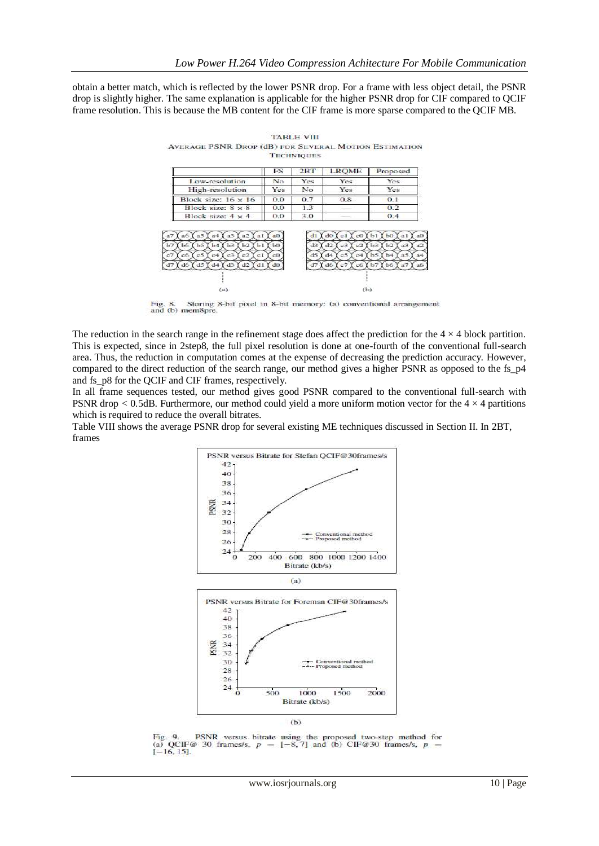obtain a better match, which is reflected by the lower PSNR drop. For a frame with less object detail, the PSNR drop is slightly higher. The same explanation is applicable for the higher PSNR drop for CIF compared to QCIF frame resolution. This is because the MB content for the CIF frame is more sparse compared to the QCIF MB.

|                                                                                                                                         | FS              | $2B$ T                     | <b>LROME</b>                                            | Proposed                                                                   |
|-----------------------------------------------------------------------------------------------------------------------------------------|-----------------|----------------------------|---------------------------------------------------------|----------------------------------------------------------------------------|
| Low-resolution                                                                                                                          | No              | Yes                        | Yes                                                     | Yes                                                                        |
| High-resolution                                                                                                                         | Yes             | No                         | Yes                                                     | Yes                                                                        |
| Block size: $16 \times 16$                                                                                                              | 0.0             | 0.7                        | 0.8                                                     | 0.1                                                                        |
| Block size: $8 \times 8$                                                                                                                | 0.0             | 1.3                        |                                                         | 0.2                                                                        |
| Block size: $4 \times 4$                                                                                                                | 0.0             | 3.0                        |                                                         | 0.4                                                                        |
| a5<br>a <sub>3</sub><br>n2<br>$\mathbf{a}4$<br>n1<br>àб                                                                                 | B <sub>0</sub>  | d1                         | do<br>co<br>сl                                          | h1<br>$b$ O<br>n1                                                          |
| <b>b6</b><br>b <sub>5</sub><br>b3<br>b2<br>b1<br>h4<br>c6<br>c5<br>c3<br>C <sub>4</sub><br>c2<br>cl<br>d2<br>d6<br>d5<br>d4<br>d3<br>d1 | b0<br>$0$<br>d0 | d3<br>d <sub>5</sub><br>d7 | d2<br>c3<br>c2<br>d4<br>c5<br>c4<br>d6<br>c7<br>$_{c6}$ | b2<br>b <sub>3</sub><br>a3<br>b5<br>n <sub>5</sub><br>b4<br>b7<br>a7<br>b6 |
|                                                                                                                                         |                 |                            |                                                         |                                                                            |

**TARLE VIII** AVERAGE PSNR DROP (dB) FOR SEVERAL MOTION ESTIMATION **TECHNIQUES** 

Fig. 8. Storing 8-bit pixel in 8-bit memory: (a) conventional arrangement and (b) mem8pre.

The reduction in the search range in the refinement stage does affect the prediction for the  $4 \times 4$  block partition. This is expected, since in 2step8, the full pixel resolution is done at one-fourth of the conventional full-search area. Thus, the reduction in computation comes at the expense of decreasing the prediction accuracy. However, compared to the direct reduction of the search range, our method gives a higher PSNR as opposed to the fs\_p4 and fs\_p8 for the QCIF and CIF frames, respectively.

In all frame sequences tested, our method gives good PSNR compared to the conventional full-search with PSNR drop  $< 0.5$ dB. Furthermore, our method could yield a more uniform motion vector for the  $4 \times 4$  partitions which is required to reduce the overall bitrates.

Table VIII shows the average PSNR drop for several existing ME techniques discussed in Section II. In 2BT, frames



Fig. 9. PSNR versus bitrate using the proposed two-step method for (a) QCIF@ 30 frames/s,  $p = [-8, 7]$  and (b) CIF@30 frames/s,  $p =$  $[-16, 15]$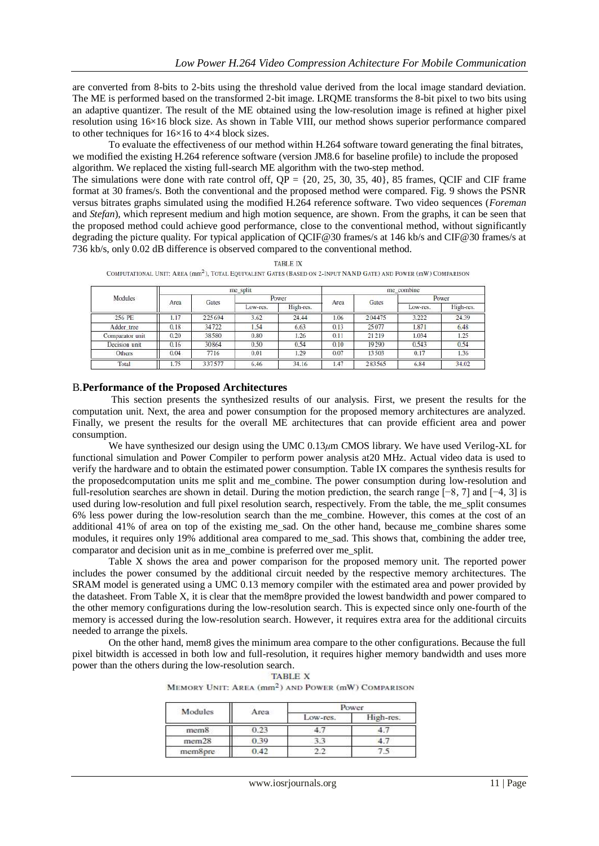are converted from 8-bits to 2-bits using the threshold value derived from the local image standard deviation. The ME is performed based on the transformed 2-bit image. LRQME transforms the 8-bit pixel to two bits using an adaptive quantizer. The result of the ME obtained using the low-resolution image is refined at higher pixel resolution using 16×16 block size. As shown in Table VIII, our method shows superior performance compared to other techniques for 16×16 to 4×4 block sizes.

To evaluate the effectiveness of our method within H.264 software toward generating the final bitrates, we modified the existing H.264 reference software (version JM8.6 for baseline profile) to include the proposed algorithm. We replaced the xisting full-search ME algorithm with the two-step method.

The simulations were done with rate control off, QP = {20*,* 25*,* 30*,* 35*,* 40}, 85 frames, QCIF and CIF frame format at 30 frames/s. Both the conventional and the proposed method were compared. Fig. 9 shows the PSNR versus bitrates graphs simulated using the modified H.264 reference software. Two video sequences (*Foreman*  and *Stefan*), which represent medium and high motion sequence, are shown. From the graphs, it can be seen that the proposed method could achieve good performance, close to the conventional method, without significantly degrading the picture quality. For typical application of QCIF@30 frames/s at 146 kb/s and CIF@30 frames/s at 736 kb/s, only 0.02 dB difference is observed compared to the conventional method.

|                 |      |        | me_split |           |      |              | me combine |           |
|-----------------|------|--------|----------|-----------|------|--------------|------------|-----------|
| Modules         |      | Gates  |          | Power     | Area | <b>Gates</b> |            | Power     |
|                 | Area |        | LOW-res. | High-res. |      |              | Low-res.   | High-res. |
| 256 PE          | 1.17 | 225694 | 3.62     | 24.44     | 1.06 | 204475       | 3.222      | 24.39     |
| Adder tree      | 0.18 | 34722  | 1.54     | 6.63      | 0.13 | 25077        | 1.871      | 6.48      |
| Comparator unit | 0.20 | 38580  | 0.80     | 1.26      | 0.11 | 21219        | 1.034      | 1.25      |
| Decision unit   | 0.16 | 30864  | 0.50     | 0.54      | 0.10 | 19290        | 0.543      | 0.54      |
| Others          | 0.04 | 7716   | 0.01     | 1.29      | 0.07 | 13503        | 0.17       | 1.36      |
| Total           | 1.75 | 337577 | 6.46     | 34.16     | 1.47 | 283565       | 6.84       | 34.02     |

**TABLE IX** COMPUTATIONAL UNIT: AREA (mm<sup>2</sup>), TOTAL EQUIVALENT GATES (BASED ON 2-INPUT NAND GATE) AND POWER (mW) COMPARISON

## B.**Performance of the Proposed Architectures**

This section presents the synthesized results of our analysis. First, we present the results for the computation unit. Next, the area and power consumption for the proposed memory architectures are analyzed. Finally, we present the results for the overall ME architectures that can provide efficient area and power consumption.

We have synthesized our design using the UMC 0.13 $\mu$ m CMOS library. We have used Verilog-XL for functional simulation and Power Compiler to perform power analysis at20 MHz. Actual video data is used to verify the hardware and to obtain the estimated power consumption. Table IX compares the synthesis results for the proposedcomputation units me split and me\_combine. The power consumption during low-resolution and full-resolution searches are shown in detail. During the motion prediction, the search range [−8*,* 7] and [−4*,* 3] is used during low-resolution and full pixel resolution search, respectively. From the table, the me\_split consumes 6% less power during the low-resolution search than the me\_combine. However, this comes at the cost of an additional 41% of area on top of the existing me\_sad. On the other hand, because me\_combine shares some modules, it requires only 19% additional area compared to me\_sad. This shows that, combining the adder tree, comparator and decision unit as in me\_combine is preferred over me\_split.

Table X shows the area and power comparison for the proposed memory unit. The reported power includes the power consumed by the additional circuit needed by the respective memory architectures. The SRAM model is generated using a UMC 0.13 memory compiler with the estimated area and power provided by the datasheet. From Table X, it is clear that the mem8pre provided the lowest bandwidth and power compared to the other memory configurations during the low-resolution search. This is expected since only one-fourth of the memory is accessed during the low-resolution search. However, it requires extra area for the additional circuits needed to arrange the pixels.

On the other hand, mem8 gives the minimum area compare to the other configurations. Because the full pixel bitwidth is accessed in both low and full-resolution, it requires higher memory bandwidth and uses more power than the others during the low-resolution search.

| Modules           | Area | Power    |           |  |
|-------------------|------|----------|-----------|--|
|                   |      | Low-res. | High-res. |  |
| mem <sub>8</sub>  | 0.23 |          |           |  |
| mem <sub>28</sub> | 0.39 |          |           |  |
| mem8pre           | 0.42 |          |           |  |

MEMORY UNIT: AREA (mm<sup>2</sup>) AND POWER (mW) COMPARISON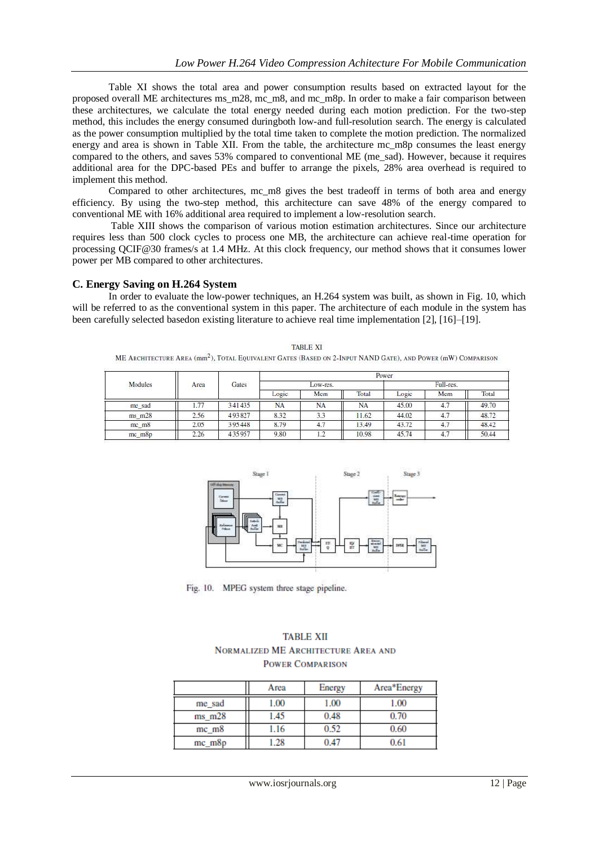Table XI shows the total area and power consumption results based on extracted layout for the proposed overall ME architectures ms\_m28, mc\_m8, and mc\_m8p. In order to make a fair comparison between these architectures, we calculate the total energy needed during each motion prediction. For the two-step method, this includes the energy consumed duringboth low-and full-resolution search. The energy is calculated as the power consumption multiplied by the total time taken to complete the motion prediction. The normalized energy and area is shown in Table XII. From the table, the architecture mc\_m8p consumes the least energy compared to the others, and saves 53% compared to conventional ME (me\_sad). However, because it requires additional area for the DPC-based PEs and buffer to arrange the pixels, 28% area overhead is required to implement this method.

 Compared to other architectures, mc\_m8 gives the best tradeoff in terms of both area and energy efficiency. By using the two-step method, this architecture can save 48% of the energy compared to conventional ME with 16% additional area required to implement a low-resolution search.

Table XIII shows the comparison of various motion estimation architectures. Since our architecture requires less than 500 clock cycles to process one MB, the architecture can achieve real-time operation for processing QCIF@30 frames/s at 1.4 MHz. At this clock frequency, our method shows that it consumes lower power per MB compared to other architectures.

**C. Energy Saving on H.264 System**

In order to evaluate the low-power techniques, an H.264 system was built, as shown in Fig. 10, which will be referred to as the conventional system in this paper. The architecture of each module in the system has been carefully selected basedon existing literature to achieve real time implementation [2], [16]–[19].

| TABLE XI                                                                                                                |
|-------------------------------------------------------------------------------------------------------------------------|
| ME ARCHITECTURE AREA (mm <sup>2</sup> ), TOTAL EQUIVALENT GATES (BASED ON 2-INPUT NAND GATE), AND POWER (mW) COMPARISON |

|            | Modules<br>Area | Gates<br>19695145 | Power   |                      |       |           |     |       |
|------------|-----------------|-------------------|---------|----------------------|-------|-----------|-----|-------|
|            |                 |                   | OW-res. |                      |       | Full-res. |     |       |
|            |                 |                   | Logic   | Mem                  | Total | Logic     | Mem | Total |
| me_sad     | 1.77            | 341435            | NA      | NA                   | NA    | 45.00     | 4.  | 49.70 |
| $ms$ $m28$ | 2.56            | 493827            | 8.32    | $\sim$ $\sim$<br>3.3 | 1.62  | 44.02     | 4.7 | 48.72 |
| mc_m8      | 2.05            | 395448            | 8.79    | 4.7                  | 3.49  | 43.72     | 4.7 | 48.42 |
| mc_m8p     | 2.26            | 435957            | 9.80    | <b>CO</b><br>1.2     | 10.98 | 45.74     | 4.7 | 50.44 |



Fig. 10. MPEG system three stage pipeline.

## **TABLE XII** NORMALIZED ME ARCHITECTURE AREA AND **POWER COMPARISON**

|             | Area     | Energy | Area*Energy |
|-------------|----------|--------|-------------|
| me sad      | $1.00\,$ | 1.00   | 1.00        |
| $ms$ m $28$ | l.45     | 0.48   | 0.70        |
| mc m8       | .16      | 0.52   | 0.60        |
| $mc_{m8p}$  | .28      | 0.47   |             |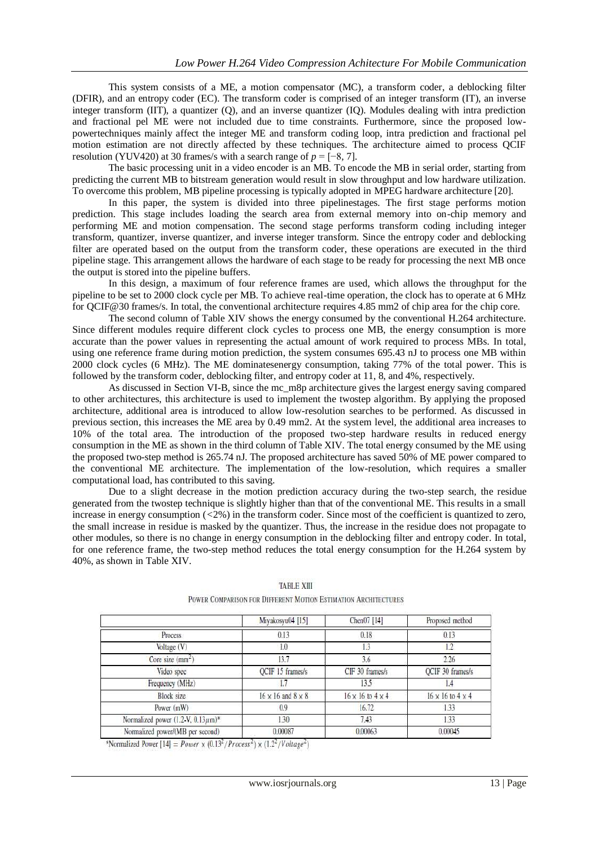This system consists of a ME, a motion compensator (MC), a transform coder, a deblocking filter (DFIR), and an entropy coder (EC). The transform coder is comprised of an integer transform (IT), an inverse integer transform (IIT), a quantizer (Q), and an inverse quantizer (IQ). Modules dealing with intra prediction and fractional pel ME were not included due to time constraints. Furthermore, since the proposed lowpowertechniques mainly affect the integer ME and transform coding loop, intra prediction and fractional pel motion estimation are not directly affected by these techniques. The architecture aimed to process QCIF resolution (YUV420) at 30 frames/s with a search range of  $p = [-8, 7]$ .

The basic processing unit in a video encoder is an MB. To encode the MB in serial order, starting from predicting the current MB to bitstream generation would result in slow throughput and low hardware utilization. To overcome this problem, MB pipeline processing is typically adopted in MPEG hardware architecture [20].

In this paper, the system is divided into three pipelinestages. The first stage performs motion prediction. This stage includes loading the search area from external memory into on-chip memory and performing ME and motion compensation. The second stage performs transform coding including integer transform, quantizer, inverse quantizer, and inverse integer transform. Since the entropy coder and deblocking filter are operated based on the output from the transform coder, these operations are executed in the third pipeline stage. This arrangement allows the hardware of each stage to be ready for processing the next MB once the output is stored into the pipeline buffers.

In this design, a maximum of four reference frames are used, which allows the throughput for the pipeline to be set to 2000 clock cycle per MB. To achieve real-time operation, the clock has to operate at 6 MHz for QCIF@30 frames/s. In total, the conventional architecture requires 4.85 mm2 of chip area for the chip core.

The second column of Table XIV shows the energy consumed by the conventional H.264 architecture. Since different modules require different clock cycles to process one MB, the energy consumption is more accurate than the power values in representing the actual amount of work required to process MBs. In total, using one reference frame during motion prediction, the system consumes 695.43 nJ to process one MB within 2000 clock cycles (6 MHz). The ME dominatesenergy consumption, taking 77% of the total power. This is followed by the transform coder, deblocking filter, and entropy coder at 11, 8, and 4%, respectively.

As discussed in Section VI-B, since the mc\_m8p architecture gives the largest energy saving compared to other architectures, this architecture is used to implement the twostep algorithm. By applying the proposed architecture, additional area is introduced to allow low-resolution searches to be performed. As discussed in previous section, this increases the ME area by 0.49 mm2. At the system level, the additional area increases to 10% of the total area. The introduction of the proposed two-step hardware results in reduced energy consumption in the ME as shown in the third column of Table XIV. The total energy consumed by the ME using the proposed two-step method is 265.74 nJ. The proposed architecture has saved 50% of ME power compared to the conventional ME architecture. The implementation of the low-resolution, which requires a smaller computational load, has contributed to this saving.

Due to a slight decrease in the motion prediction accuracy during the two-step search, the residue generated from the twostep technique is slightly higher than that of the conventional ME. This results in a small increase in energy consumption (*<*2%) in the transform coder. Since most of the coefficient is quantized to zero, the small increase in residue is masked by the quantizer. Thus, the increase in the residue does not propagate to other modules, so there is no change in energy consumption in the deblocking filter and entropy coder. In total, for one reference frame, the two-step method reduces the total energy consumption for the H.264 system by 40%, as shown in Table XIV.

|                                          | Miyakosyu04 [15]                | Chen07 [14]                    | Proposed method                |
|------------------------------------------|---------------------------------|--------------------------------|--------------------------------|
| Process                                  | 0.13                            | 0.18                           | 0.13                           |
| Voltage $(V)$                            | 1.0                             |                                | 1.2                            |
| Core size (mm <sup>2</sup> )             | 13.7                            | 3.6                            | 2.26                           |
| Video spec                               | QCIF 15 frames/s                | CIF 30 frames/s                | QCIF 30 frames/s               |
| Frequency (MHz)                          |                                 | 13.5                           |                                |
| <b>Block size</b>                        | $16 \times 16$ and $8 \times 8$ | $16 \times 16$ to $4 \times 4$ | $16 \times 16$ to $4 \times 4$ |
| Power (mW)                               | 0.9                             | 16.72                          | 1.33                           |
| Normalized power (1.2-V, $0.13 \mu m$ )* | 1.30                            | 7.43                           | 1.33                           |
| Normalized power/(MB per second)         | 0.00087                         | 0.00063                        | 0.00045                        |

## **TABLE XIII** POWER COMPARISON FOR DIFFERENT MOTION ESTIMATION ARCHITECTURES

\*Normalized Power  $[14] = Power \times (0.13^2/Process^2) \times (1.2^2/Volume^2)$